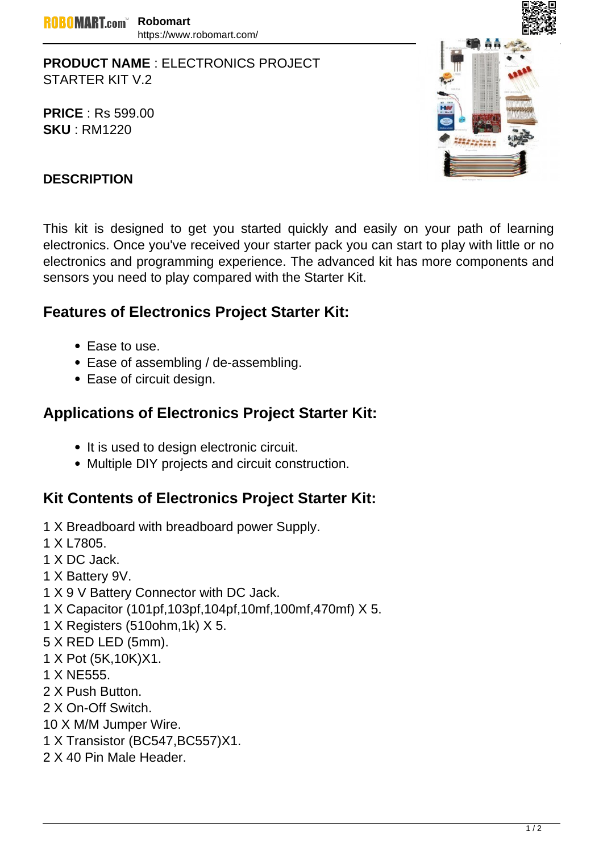**PRODUCT NAME** : ELECTRONICS PROJECT STARTER KIT V.2

**PRICE** : Rs 599.00 **SKU** : RM1220



## **DESCRIPTION**

This kit is designed to get you started quickly and easily on your path of learning electronics. Once you've received your starter pack you can start to play with little or no electronics and programming experience. The advanced kit has more components and sensors you need to play compared with the Starter Kit.

## **Features of Electronics Project Starter Kit:**

- Ease to use.
- Ease of assembling / de-assembling.
- Ease of circuit design.

## **Applications of Electronics Project Starter Kit:**

- It is used to design electronic circuit.
- Multiple DIY projects and circuit construction.

## **Kit Contents of Electronics Project Starter Kit:**

- 1 X Breadboard with breadboard power Supply.
- 1 X L7805.
- 1 X DC Jack.
- 1 X Battery 9V.
- 1 X 9 V Battery Connector with DC Jack.
- 1 X Capacitor (101pf,103pf,104pf,10mf,100mf,470mf) X 5.
- 1 X Registers (510ohm,1k) X 5.
- 5 X RED LED (5mm).
- 1 X Pot (5K,10K)X1.
- 1 X NE555.
- 2 X Push Button.
- 2 X On-Off Switch.
- 10 X M/M Jumper Wire.
- 1 X Transistor (BC547,BC557)X1.
- 2 X 40 Pin Male Header.